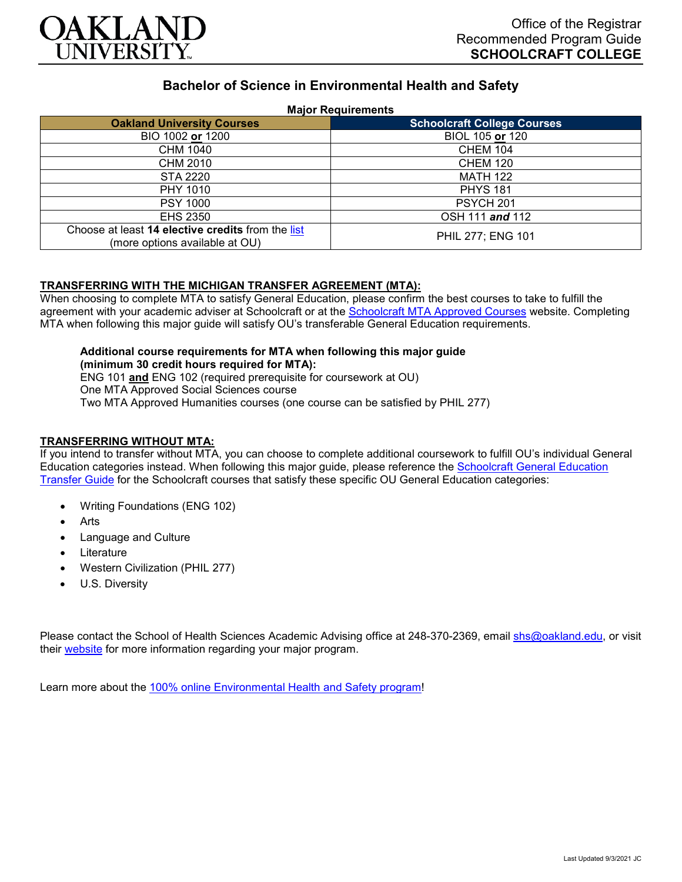

# **Bachelor of Science in Environmental Health and Safety**

### **Major Requirements**

| <b>Oakland University Courses</b>                                                   | <b>Schoolcraft College Courses</b> |
|-------------------------------------------------------------------------------------|------------------------------------|
| BIO 1002 or 1200                                                                    | BIOL 105 or 120                    |
| CHM 1040                                                                            | <b>CHEM 104</b>                    |
| CHM 2010                                                                            | <b>CHEM 120</b>                    |
| <b>STA 2220</b>                                                                     | <b>MATH 122</b>                    |
| PHY 1010                                                                            | <b>PHYS 181</b>                    |
| <b>PSY 1000</b>                                                                     | <b>PSYCH 201</b>                   |
| EHS 2350                                                                            | OSH 111 and 112                    |
| Choose at least 14 elective credits from the list<br>(more options available at OU) | PHIL 277; ENG 101                  |

### **TRANSFERRING WITH THE MICHIGAN TRANSFER AGREEMENT (MTA):**

When choosing to complete MTA to satisfy General Education, please confirm the best courses to take to fulfill the agreement with your academic adviser at Schoolcraft or at the [Schoolcraft MTA Approved Courses](https://www.schoolcraft.edu/academics/michigan-transfer-agreement) website. Completing MTA when following this major guide will satisfy OU's transferable General Education requirements.

#### **Additional course requirements for MTA when following this major guide (minimum 30 credit hours required for MTA):**

ENG 101 **and** ENG 102 (required prerequisite for coursework at OU) One MTA Approved Social Sciences course Two MTA Approved Humanities courses (one course can be satisfied by PHIL 277)

## **TRANSFERRING WITHOUT MTA:**

If you intend to transfer without MTA, you can choose to complete additional coursework to fulfill OU's individual General Education categories instead. When following this major guide, please reference the [Schoolcraft General Education](https://www.oakland.edu/Assets/Oakland/program-guides/schoolcraft-college/university-general-education-requirements/Schoolcraft%20Gen%20Ed.pdf)  [Transfer Guide](https://www.oakland.edu/Assets/Oakland/program-guides/schoolcraft-college/university-general-education-requirements/Schoolcraft%20Gen%20Ed.pdf) for the Schoolcraft courses that satisfy these specific OU General Education categories:

- Writing Foundations (ENG 102)
- **Arts**
- Language and Culture
- **Literature**
- Western Civilization (PHIL 277)
- U.S. Diversity

Please contact the School of Health Sciences Academic Advising office at 248-370-2369, email [shs@oakland.edu,](mailto:shs@oakland.edu) or visit their [website](http://www.oakland.edu/shs/advising) for more information regarding your major program.

Learn more about the [100% online Environmental Health and Safety program!](https://www.oakland.edu/online/undergraduate-degree-programs/ehs/)